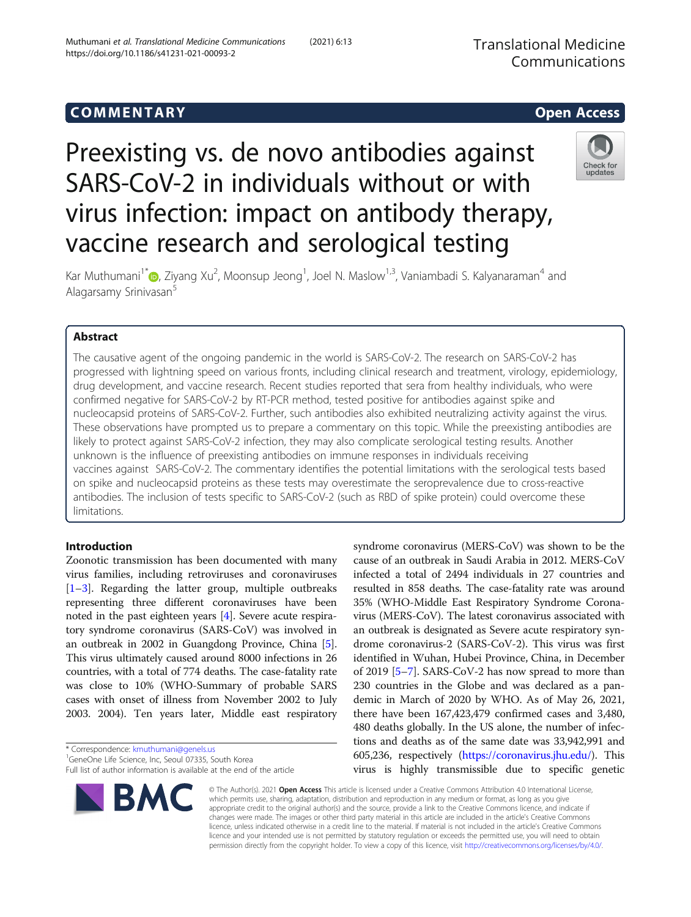https://doi.org/10.1186/s41231-021-00093-2

# COMM EN TARY Open Access Preexisting vs. de novo antibodies against

SARS-CoV-2 in individuals without or with virus infection: impact on antibody therapy, vaccine research and serological testing

Kar Muthumani<sup>1\*</sup>@[,](http://orcid.org/0000-0002-6807-2065) Ziyang Xu<sup>2</sup>, Moonsup Jeong<sup>1</sup>, Joel N. Maslow<sup>1,3</sup>, Vaniambadi S. Kalyanaraman<sup>4</sup> and Alagarsamy Srinivasan<sup>5</sup>

# Abstract

The causative agent of the ongoing pandemic in the world is SARS-CoV-2. The research on SARS-CoV-2 has progressed with lightning speed on various fronts, including clinical research and treatment, virology, epidemiology, drug development, and vaccine research. Recent studies reported that sera from healthy individuals, who were confirmed negative for SARS-CoV-2 by RT-PCR method, tested positive for antibodies against spike and nucleocapsid proteins of SARS-CoV-2. Further, such antibodies also exhibited neutralizing activity against the virus. These observations have prompted us to prepare a commentary on this topic. While the preexisting antibodies are likely to protect against SARS-CoV-2 infection, they may also complicate serological testing results. Another unknown is the influence of preexisting antibodies on immune responses in individuals receiving vaccines against SARS-CoV-2. The commentary identifies the potential limitations with the serological tests based on spike and nucleocapsid proteins as these tests may overestimate the seroprevalence due to cross-reactive antibodies. The inclusion of tests specific to SARS-CoV-2 (such as RBD of spike protein) could overcome these limitations.

# Introduction

Zoonotic transmission has been documented with many virus families, including retroviruses and coronaviruses [[1](#page-5-0)–[3\]](#page-5-0). Regarding the latter group, multiple outbreaks representing three different coronaviruses have been noted in the past eighteen years [\[4\]](#page-5-0). Severe acute respiratory syndrome coronavirus (SARS-CoV) was involved in an outbreak in 2002 in Guangdong Province, China [[5](#page-5-0)]. This virus ultimately caused around 8000 infections in 26 countries, with a total of 774 deaths. The case-fatality rate was close to 10% (WHO-Summary of probable SARS cases with onset of illness from November 2002 to July 2003. 2004). Ten years later, Middle east respiratory

\* Correspondence: [kmuthumani@genels.us](mailto:kmuthumani@genels.us) <sup>1</sup>

<sup>1</sup>GeneOne Life Science, Inc, Seoul 07335, South Korea Full list of author information is available at the end of the article syndrome coronavirus (MERS-CoV) was shown to be the cause of an outbreak in Saudi Arabia in 2012. MERS-CoV infected a total of 2494 individuals in 27 countries and resulted in 858 deaths. The case-fatality rate was around 35% (WHO-Middle East Respiratory Syndrome Coronavirus (MERS-CoV). The latest coronavirus associated with an outbreak is designated as Severe acute respiratory syndrome coronavirus-2 (SARS-CoV-2). This virus was first identified in Wuhan, Hubei Province, China, in December of 2019 [[5](#page-5-0)–[7](#page-5-0)]. SARS-CoV-2 has now spread to more than 230 countries in the Globe and was declared as a pandemic in March of 2020 by WHO. As of May 26, 2021, there have been 167,423,479 confirmed cases and 3,480, 480 deaths globally. In the US alone, the number of infections and deaths as of the same date was 33,942,991 and 605,236, respectively ([https://coronavirus.jhu.edu/\)](https://coronavirus.jhu.edu/). This virus is highly transmissible due to specific genetic

© The Author(s). 2021 Open Access This article is licensed under a Creative Commons Attribution 4.0 International License, which permits use, sharing, adaptation, distribution and reproduction in any medium or format, as long as you give appropriate credit to the original author(s) and the source, provide a link to the Creative Commons licence, and indicate if changes were made. The images or other third party material in this article are included in the article's Creative Commons licence, unless indicated otherwise in a credit line to the material. If material is not included in the article's Creative Commons licence and your intended use is not permitted by statutory regulation or exceeds the permitted use, you will need to obtain permission directly from the copyright holder. To view a copy of this licence, visit [http://creativecommons.org/licenses/by/4.0/.](http://creativecommons.org/licenses/by/4.0/)



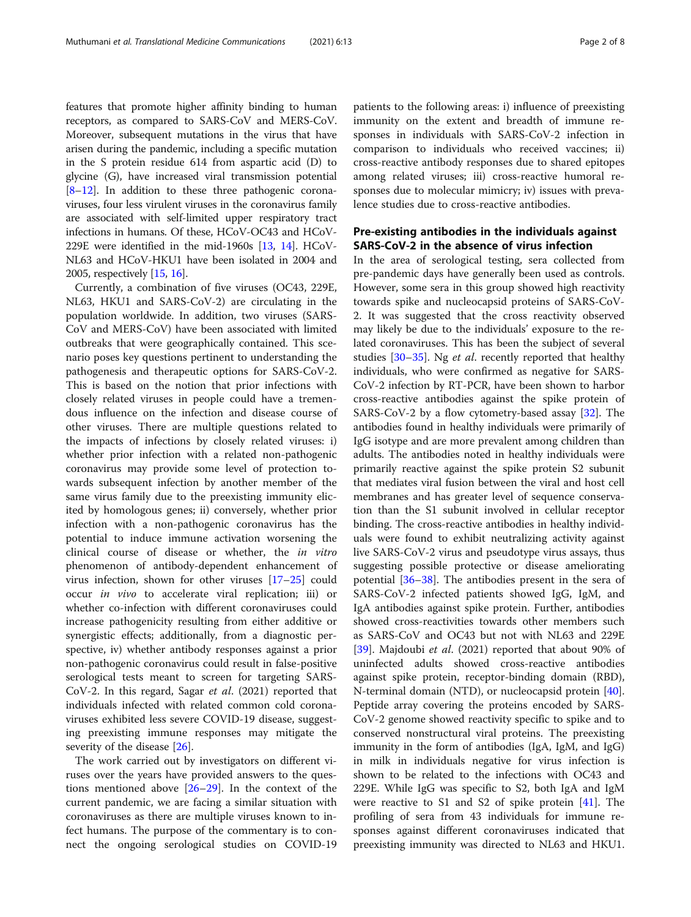features that promote higher affinity binding to human receptors, as compared to SARS-CoV and MERS-CoV. Moreover, subsequent mutations in the virus that have arisen during the pandemic, including a specific mutation in the S protein residue 614 from aspartic acid (D) to glycine (G), have increased viral transmission potential [[8](#page-5-0)–[12](#page-6-0)]. In addition to these three pathogenic coronaviruses, four less virulent viruses in the coronavirus family are associated with self-limited upper respiratory tract infections in humans. Of these, HCoV-OC43 and HCoV-229E were identified in the mid-1960s [[13](#page-6-0), [14\]](#page-6-0). HCoV-NL63 and HCoV-HKU1 have been isolated in 2004 and 2005, respectively [[15](#page-6-0), [16\]](#page-6-0).

Currently, a combination of five viruses (OC43, 229E, NL63, HKU1 and SARS-CoV-2) are circulating in the population worldwide. In addition, two viruses (SARS-CoV and MERS-CoV) have been associated with limited outbreaks that were geographically contained. This scenario poses key questions pertinent to understanding the pathogenesis and therapeutic options for SARS-CoV-2. This is based on the notion that prior infections with closely related viruses in people could have a tremendous influence on the infection and disease course of other viruses. There are multiple questions related to the impacts of infections by closely related viruses: i) whether prior infection with a related non-pathogenic coronavirus may provide some level of protection towards subsequent infection by another member of the same virus family due to the preexisting immunity elicited by homologous genes; ii) conversely, whether prior infection with a non-pathogenic coronavirus has the potential to induce immune activation worsening the clinical course of disease or whether, the in vitro phenomenon of antibody-dependent enhancement of virus infection, shown for other viruses [\[17](#page-6-0)–[25\]](#page-6-0) could occur in vivo to accelerate viral replication; iii) or whether co-infection with different coronaviruses could increase pathogenicity resulting from either additive or synergistic effects; additionally, from a diagnostic perspective, iv) whether antibody responses against a prior non-pathogenic coronavirus could result in false-positive serological tests meant to screen for targeting SARS-CoV-2. In this regard, Sagar et al. (2021) reported that individuals infected with related common cold coronaviruses exhibited less severe COVID-19 disease, suggesting preexisting immune responses may mitigate the severity of the disease [[26\]](#page-6-0).

The work carried out by investigators on different viruses over the years have provided answers to the questions mentioned above [\[26](#page-6-0)–[29\]](#page-6-0). In the context of the current pandemic, we are facing a similar situation with coronaviruses as there are multiple viruses known to infect humans. The purpose of the commentary is to connect the ongoing serological studies on COVID-19

patients to the following areas: i) influence of preexisting immunity on the extent and breadth of immune responses in individuals with SARS-CoV-2 infection in comparison to individuals who received vaccines; ii) cross-reactive antibody responses due to shared epitopes among related viruses; iii) cross-reactive humoral responses due to molecular mimicry; iv) issues with prevalence studies due to cross-reactive antibodies.

# Pre-existing antibodies in the individuals against SARS-CoV-2 in the absence of virus infection

In the area of serological testing, sera collected from pre-pandemic days have generally been used as controls. However, some sera in this group showed high reactivity towards spike and nucleocapsid proteins of SARS-CoV-2. It was suggested that the cross reactivity observed may likely be due to the individuals' exposure to the related coronaviruses. This has been the subject of several studies [[30](#page-6-0)-[35](#page-6-0)]. Ng et al. recently reported that healthy individuals, who were confirmed as negative for SARS-CoV-2 infection by RT-PCR, have been shown to harbor cross-reactive antibodies against the spike protein of SARS-CoV-2 by a flow cytometry-based assay [\[32](#page-6-0)]. The antibodies found in healthy individuals were primarily of IgG isotype and are more prevalent among children than adults. The antibodies noted in healthy individuals were primarily reactive against the spike protein S2 subunit that mediates viral fusion between the viral and host cell membranes and has greater level of sequence conservation than the S1 subunit involved in cellular receptor binding. The cross-reactive antibodies in healthy individuals were found to exhibit neutralizing activity against live SARS-CoV-2 virus and pseudotype virus assays, thus suggesting possible protective or disease ameliorating potential  $[36-38]$  $[36-38]$  $[36-38]$  $[36-38]$  $[36-38]$ . The antibodies present in the sera of SARS-CoV-2 infected patients showed IgG, IgM, and IgA antibodies against spike protein. Further, antibodies showed cross-reactivities towards other members such as SARS-CoV and OC43 but not with NL63 and 229E [[39\]](#page-6-0). Majdoubi et al. (2021) reported that about 90% of uninfected adults showed cross-reactive antibodies against spike protein, receptor-binding domain (RBD), N-terminal domain (NTD), or nucleocapsid protein [\[40](#page-6-0)]. Peptide array covering the proteins encoded by SARS-CoV-2 genome showed reactivity specific to spike and to conserved nonstructural viral proteins. The preexisting immunity in the form of antibodies (IgA, IgM, and IgG) in milk in individuals negative for virus infection is shown to be related to the infections with OC43 and 229E. While IgG was specific to S2, both IgA and IgM were reactive to S1 and S2 of spike protein [\[41](#page-6-0)]. The profiling of sera from 43 individuals for immune responses against different coronaviruses indicated that preexisting immunity was directed to NL63 and HKU1.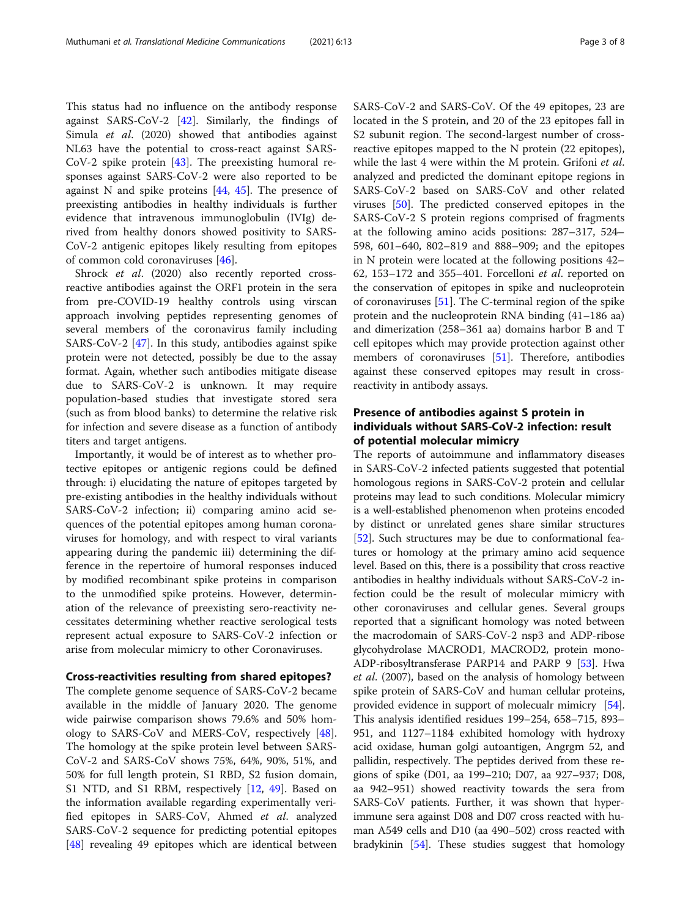This status had no influence on the antibody response against SARS-CoV-2 [[42\]](#page-6-0). Similarly, the findings of Simula et al. (2020) showed that antibodies against NL63 have the potential to cross-react against SARS-CoV-2 spike protein [[43](#page-6-0)]. The preexisting humoral responses against SARS-CoV-2 were also reported to be against N and spike proteins  $[44, 45]$  $[44, 45]$  $[44, 45]$  $[44, 45]$ . The presence of preexisting antibodies in healthy individuals is further evidence that intravenous immunoglobulin (IVIg) derived from healthy donors showed positivity to SARS-CoV-2 antigenic epitopes likely resulting from epitopes of common cold coronaviruses [\[46](#page-6-0)].

Shrock *et al.* (2020) also recently reported crossreactive antibodies against the ORF1 protein in the sera from pre-COVID-19 healthy controls using virscan approach involving peptides representing genomes of several members of the coronavirus family including SARS-CoV-2 [[47\]](#page-6-0). In this study, antibodies against spike protein were not detected, possibly be due to the assay format. Again, whether such antibodies mitigate disease due to SARS-CoV-2 is unknown. It may require population-based studies that investigate stored sera (such as from blood banks) to determine the relative risk for infection and severe disease as a function of antibody titers and target antigens.

Importantly, it would be of interest as to whether protective epitopes or antigenic regions could be defined through: i) elucidating the nature of epitopes targeted by pre-existing antibodies in the healthy individuals without SARS-CoV-2 infection; ii) comparing amino acid sequences of the potential epitopes among human coronaviruses for homology, and with respect to viral variants appearing during the pandemic iii) determining the difference in the repertoire of humoral responses induced by modified recombinant spike proteins in comparison to the unmodified spike proteins. However, determination of the relevance of preexisting sero-reactivity necessitates determining whether reactive serological tests represent actual exposure to SARS-CoV-2 infection or arise from molecular mimicry to other Coronaviruses.

# Cross-reactivities resulting from shared epitopes?

The complete genome sequence of SARS-CoV-2 became available in the middle of January 2020. The genome wide pairwise comparison shows 79.6% and 50% homology to SARS-CoV and MERS-CoV, respectively [\[48](#page-6-0)]. The homology at the spike protein level between SARS-CoV-2 and SARS-CoV shows 75%, 64%, 90%, 51%, and 50% for full length protein, S1 RBD, S2 fusion domain, S1 NTD, and S1 RBM, respectively [[12,](#page-6-0) [49](#page-6-0)]. Based on the information available regarding experimentally verified epitopes in SARS-CoV, Ahmed et al. analyzed SARS-CoV-2 sequence for predicting potential epitopes [[48\]](#page-6-0) revealing 49 epitopes which are identical between SARS-CoV-2 and SARS-CoV. Of the 49 epitopes, 23 are located in the S protein, and 20 of the 23 epitopes fall in S2 subunit region. The second-largest number of crossreactive epitopes mapped to the N protein (22 epitopes), while the last 4 were within the M protein. Grifoni et al. analyzed and predicted the dominant epitope regions in SARS-CoV-2 based on SARS-CoV and other related viruses [\[50](#page-6-0)]. The predicted conserved epitopes in the SARS-CoV-2 S protein regions comprised of fragments at the following amino acids positions: 287–317, 524– 598, 601–640, 802–819 and 888–909; and the epitopes in N protein were located at the following positions 42– 62, 153–172 and 355–401. Forcelloni *et al.* reported on the conservation of epitopes in spike and nucleoprotein of coronaviruses [[51\]](#page-6-0). The C-terminal region of the spike protein and the nucleoprotein RNA binding (41–186 aa) and dimerization (258–361 aa) domains harbor B and T cell epitopes which may provide protection against other members of coronaviruses [\[51](#page-6-0)]. Therefore, antibodies against these conserved epitopes may result in crossreactivity in antibody assays.

# Presence of antibodies against S protein in individuals without SARS-CoV-2 infection: result of potential molecular mimicry

The reports of autoimmune and inflammatory diseases in SARS-CoV-2 infected patients suggested that potential homologous regions in SARS-CoV-2 protein and cellular proteins may lead to such conditions. Molecular mimicry is a well-established phenomenon when proteins encoded by distinct or unrelated genes share similar structures [[52](#page-6-0)]. Such structures may be due to conformational features or homology at the primary amino acid sequence level. Based on this, there is a possibility that cross reactive antibodies in healthy individuals without SARS-CoV-2 infection could be the result of molecular mimicry with other coronaviruses and cellular genes. Several groups reported that a significant homology was noted between the macrodomain of SARS-CoV-2 nsp3 and ADP-ribose glycohydrolase MACROD1, MACROD2, protein mono-ADP-ribosyltransferase PARP14 and PARP 9 [\[53](#page-6-0)]. Hwa et al. (2007), based on the analysis of homology between spike protein of SARS-CoV and human cellular proteins, provided evidence in support of molecualr mimicry [[54](#page-6-0)]. This analysis identified residues 199–254, 658–715, 893– 951, and 1127–1184 exhibited homology with hydroxy acid oxidase, human golgi autoantigen, Angrgm 52, and pallidin, respectively. The peptides derived from these regions of spike (D01, aa 199–210; D07, aa 927–937; D08, aa 942–951) showed reactivity towards the sera from SARS-CoV patients. Further, it was shown that hyperimmune sera against D08 and D07 cross reacted with human A549 cells and D10 (aa 490–502) cross reacted with bradykinin [[54](#page-6-0)]. These studies suggest that homology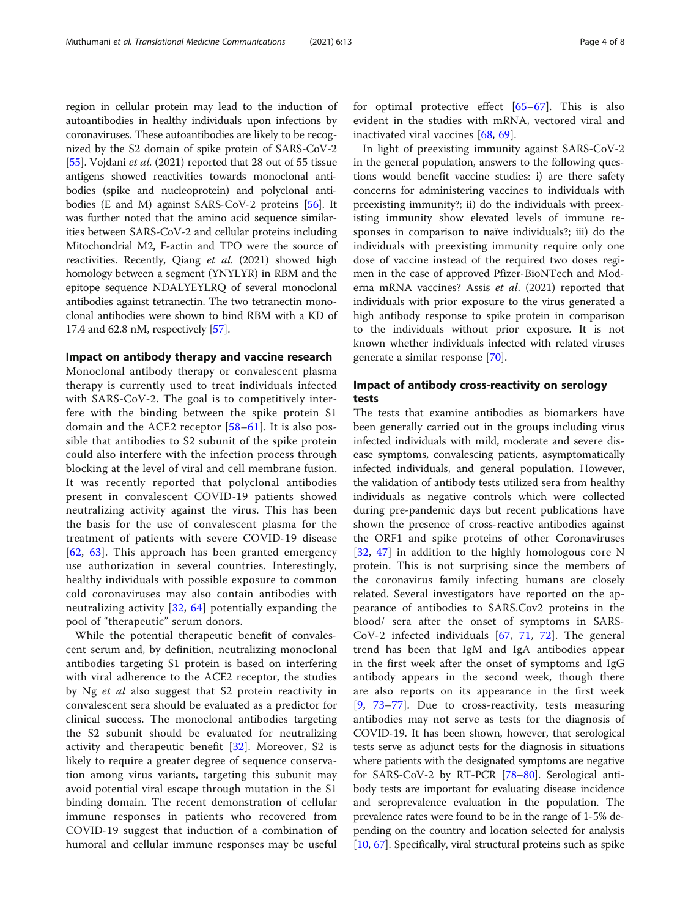region in cellular protein may lead to the induction of autoantibodies in healthy individuals upon infections by coronaviruses. These autoantibodies are likely to be recognized by the S2 domain of spike protein of SARS-CoV-2 [[55](#page-6-0)]. Vojdani et al. (2021) reported that 28 out of 55 tissue antigens showed reactivities towards monoclonal antibodies (spike and nucleoprotein) and polyclonal antibodies (E and M) against SARS-CoV-2 proteins [\[56\]](#page-6-0). It was further noted that the amino acid sequence similarities between SARS-CoV-2 and cellular proteins including Mitochondrial M2, F-actin and TPO were the source of reactivities. Recently, Qiang et al. (2021) showed high homology between a segment (YNYLYR) in RBM and the epitope sequence NDALYEYLRQ of several monoclonal antibodies against tetranectin. The two tetranectin monoclonal antibodies were shown to bind RBM with a KD of 17.4 and 62.8 nM, respectively [[57](#page-6-0)].

## Impact on antibody therapy and vaccine research

Monoclonal antibody therapy or convalescent plasma therapy is currently used to treat individuals infected with SARS-CoV-2. The goal is to competitively interfere with the binding between the spike protein S1 domain and the ACE2 receptor [\[58](#page-7-0)–[61\]](#page-7-0). It is also possible that antibodies to S2 subunit of the spike protein could also interfere with the infection process through blocking at the level of viral and cell membrane fusion. It was recently reported that polyclonal antibodies present in convalescent COVID-19 patients showed neutralizing activity against the virus. This has been the basis for the use of convalescent plasma for the treatment of patients with severe COVID-19 disease [[62](#page-7-0), [63](#page-7-0)]. This approach has been granted emergency use authorization in several countries. Interestingly, healthy individuals with possible exposure to common cold coronaviruses may also contain antibodies with neutralizing activity [\[32,](#page-6-0) [64\]](#page-7-0) potentially expanding the pool of "therapeutic" serum donors.

While the potential therapeutic benefit of convalescent serum and, by definition, neutralizing monoclonal antibodies targeting S1 protein is based on interfering with viral adherence to the ACE2 receptor, the studies by Ng *et al* also suggest that S2 protein reactivity in convalescent sera should be evaluated as a predictor for clinical success. The monoclonal antibodies targeting the S2 subunit should be evaluated for neutralizing activity and therapeutic benefit [[32\]](#page-6-0). Moreover, S2 is likely to require a greater degree of sequence conservation among virus variants, targeting this subunit may avoid potential viral escape through mutation in the S1 binding domain. The recent demonstration of cellular immune responses in patients who recovered from COVID-19 suggest that induction of a combination of humoral and cellular immune responses may be useful for optimal protective effect  $[65-67]$  $[65-67]$  $[65-67]$  $[65-67]$ . This is also evident in the studies with mRNA, vectored viral and inactivated viral vaccines [[68,](#page-7-0) [69\]](#page-7-0).

In light of preexisting immunity against SARS-CoV-2 in the general population, answers to the following questions would benefit vaccine studies: i) are there safety concerns for administering vaccines to individuals with preexisting immunity?; ii) do the individuals with preexisting immunity show elevated levels of immune responses in comparison to naïve individuals?; iii) do the individuals with preexisting immunity require only one dose of vaccine instead of the required two doses regimen in the case of approved Pfizer-BioNTech and Moderna mRNA vaccines? Assis et al. (2021) reported that individuals with prior exposure to the virus generated a high antibody response to spike protein in comparison to the individuals without prior exposure. It is not known whether individuals infected with related viruses generate a similar response [\[70\]](#page-7-0).

# Impact of antibody cross-reactivity on serology tests

The tests that examine antibodies as biomarkers have been generally carried out in the groups including virus infected individuals with mild, moderate and severe disease symptoms, convalescing patients, asymptomatically infected individuals, and general population. However, the validation of antibody tests utilized sera from healthy individuals as negative controls which were collected during pre-pandemic days but recent publications have shown the presence of cross-reactive antibodies against the ORF1 and spike proteins of other Coronaviruses [[32,](#page-6-0) [47\]](#page-6-0) in addition to the highly homologous core N protein. This is not surprising since the members of the coronavirus family infecting humans are closely related. Several investigators have reported on the appearance of antibodies to SARS.Cov2 proteins in the blood/ sera after the onset of symptoms in SARS-CoV-2 infected individuals [[67](#page-7-0), [71,](#page-7-0) [72](#page-7-0)]. The general trend has been that IgM and IgA antibodies appear in the first week after the onset of symptoms and IgG antibody appears in the second week, though there are also reports on its appearance in the first week [[9](#page-5-0), [73](#page-7-0)–[77\]](#page-7-0). Due to cross-reactivity, tests measuring antibodies may not serve as tests for the diagnosis of COVID-19. It has been shown, however, that serological tests serve as adjunct tests for the diagnosis in situations where patients with the designated symptoms are negative for SARS-CoV-2 by RT-PCR [[78](#page-7-0)–[80\]](#page-7-0). Serological antibody tests are important for evaluating disease incidence and seroprevalence evaluation in the population. The prevalence rates were found to be in the range of 1-5% depending on the country and location selected for analysis [[10](#page-6-0), [67\]](#page-7-0). Specifically, viral structural proteins such as spike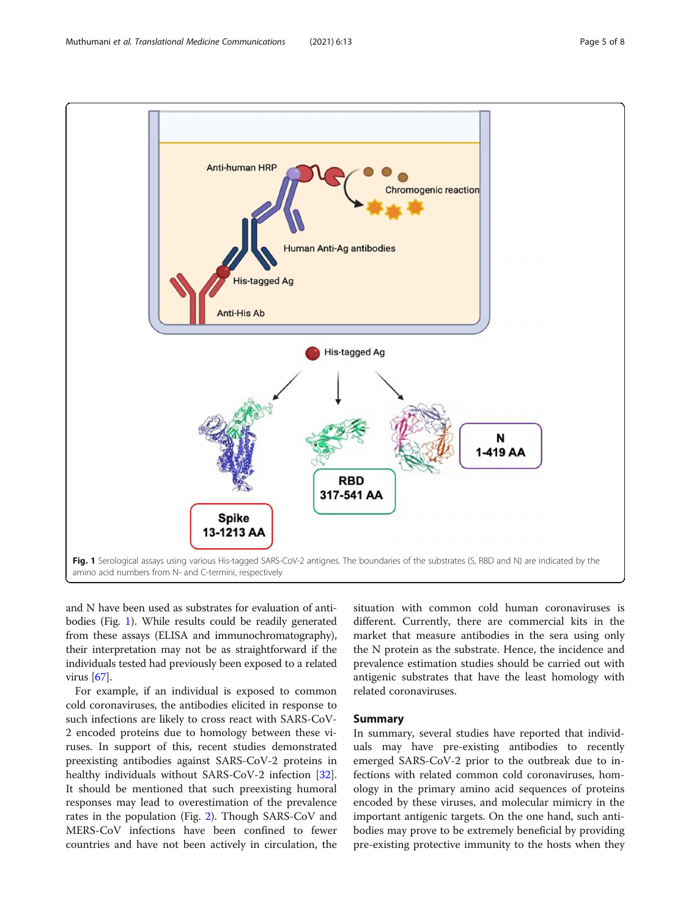

and N have been used as substrates for evaluation of antibodies (Fig. 1). While results could be readily generated from these assays (ELISA and immunochromatography), their interpretation may not be as straightforward if the individuals tested had previously been exposed to a related virus [[67](#page-7-0)].

For example, if an individual is exposed to common cold coronaviruses, the antibodies elicited in response to such infections are likely to cross react with SARS-CoV-2 encoded proteins due to homology between these viruses. In support of this, recent studies demonstrated preexisting antibodies against SARS-CoV-2 proteins in healthy individuals without SARS-CoV-2 infection [\[32](#page-6-0)]. It should be mentioned that such preexisting humoral responses may lead to overestimation of the prevalence rates in the population (Fig. [2\)](#page-5-0). Though SARS-CoV and MERS-CoV infections have been confined to fewer countries and have not been actively in circulation, the

situation with common cold human coronaviruses is different. Currently, there are commercial kits in the market that measure antibodies in the sera using only the N protein as the substrate. Hence, the incidence and prevalence estimation studies should be carried out with antigenic substrates that have the least homology with related coronaviruses.

# Summary

In summary, several studies have reported that individuals may have pre-existing antibodies to recently emerged SARS-CoV-2 prior to the outbreak due to infections with related common cold coronaviruses, homology in the primary amino acid sequences of proteins encoded by these viruses, and molecular mimicry in the important antigenic targets. On the one hand, such antibodies may prove to be extremely beneficial by providing pre-existing protective immunity to the hosts when they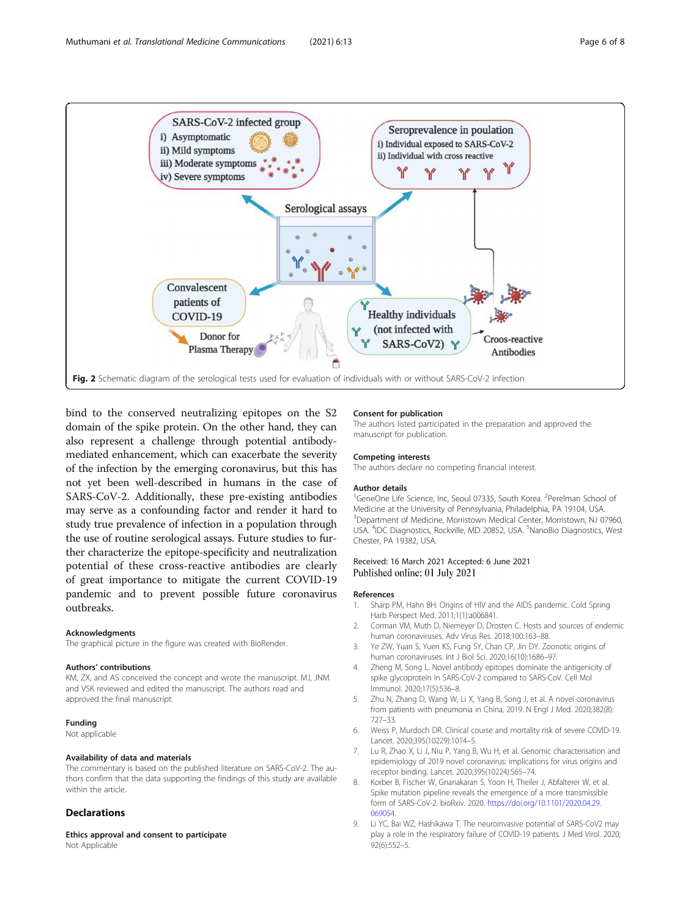<span id="page-5-0"></span>

bind to the conserved neutralizing epitopes on the S2 domain of the spike protein. On the other hand, they can also represent a challenge through potential antibodymediated enhancement, which can exacerbate the severity of the infection by the emerging coronavirus, but this has not yet been well-described in humans in the case of SARS-CoV-2. Additionally, these pre-existing antibodies may serve as a confounding factor and render it hard to study true prevalence of infection in a population through the use of routine serological assays. Future studies to further characterize the epitope-specificity and neutralization potential of these cross-reactive antibodies are clearly of great importance to mitigate the current COVID-19 pandemic and to prevent possible future coronavirus outbreaks.

### Acknowledgments

The graphical picture in the figure was created with BioRender.

## Authors' contributions

KM, ZX, and AS conceived the concept and wrote the manuscript. MJ, JNM and VSK reviewed and edited the manuscript. The authors read and approved the final manuscript.

## Funding

Not applicable

## Availability of data and materials

The commentary is based on the published literature on SARS-CoV-2. The authors confirm that the data supporting the findings of this study are available within the article.

## **Declarations**

Ethics approval and consent to participate Not Applicable

#### Consent for publication

The authors listed participated in the preparation and approved the manuscript for publication.

#### Competing interests

The authors declare no competing financial interest.

#### Author details

<sup>1</sup>GeneOne Life Science, Inc, Seoul 07335, South Korea. <sup>2</sup>Perelman School of Medicine at the University of Pennsylvania, Philadelphia, PA 19104, USA. <sup>3</sup>Department of Medicine, Morristown Medical Center, Morristown, NJ 07960 USA. <sup>4</sup>IDC Diagnostics, Rockville, MD 20852, USA. <sup>5</sup>NanoBio Diagnostics, West Chester, PA 19382, USA.

# Received: 16 March 2021 Accepted: 6 June 2021 Published online: 01 July 2021

#### References

- 1. Sharp PM, Hahn BH. Origins of HIV and the AIDS pandemic. Cold Spring Harb Perspect Med. 2011;1(1):a006841.
- 2. Corman VM, Muth D, Niemeyer D, Drosten C. Hosts and sources of endemic human coronaviruses. Adv Virus Res. 2018;100:163–88.
- 3. Ye ZW, Yuan S, Yuen KS, Fung SY, Chan CP, Jin DY. Zoonotic origins of human coronaviruses. Int J Biol Sci. 2020;16(10):1686–97.
- 4. Zheng M, Song L. Novel antibody epitopes dominate the antigenicity of spike glycoprotein in SARS-CoV-2 compared to SARS-CoV. Cell Mo Immunol. 2020;17(5):536–8.
- 5. Zhu N, Zhang D, Wang W, Li X, Yang B, Song J, et al. A novel coronavirus from patients with pneumonia in China, 2019. N Engl J Med. 2020;382(8): 727–33.
- 6. Weiss P, Murdoch DR. Clinical course and mortality risk of severe COVID-19. Lancet. 2020;395(10229):1014–5.
- Lu R, Zhao X, Li J, Niu P, Yang B, Wu H, et al. Genomic characterisation and epidemiology of 2019 novel coronavirus: implications for virus origins and receptor binding. Lancet. 2020;395(10224):565–74.
- 8. Korber B, Fischer W, Gnanakaran S, Yoon H, Theiler J, Abfalterer W, et al. Spike mutation pipeline reveals the emergence of a more transmissible form of SARS-CoV-2. bioRxiv. 2020. [https://doi.org/10.1101/2020.04.29.](https://doi.org/10.1101/2020.04.29.069054) [069054](https://doi.org/10.1101/2020.04.29.069054).
- 9. Li YC, Bai WZ, Hashikawa T. The neuroinvasive potential of SARS-CoV2 may play a role in the respiratory failure of COVID-19 patients. J Med Virol. 2020; 92(6):552–5.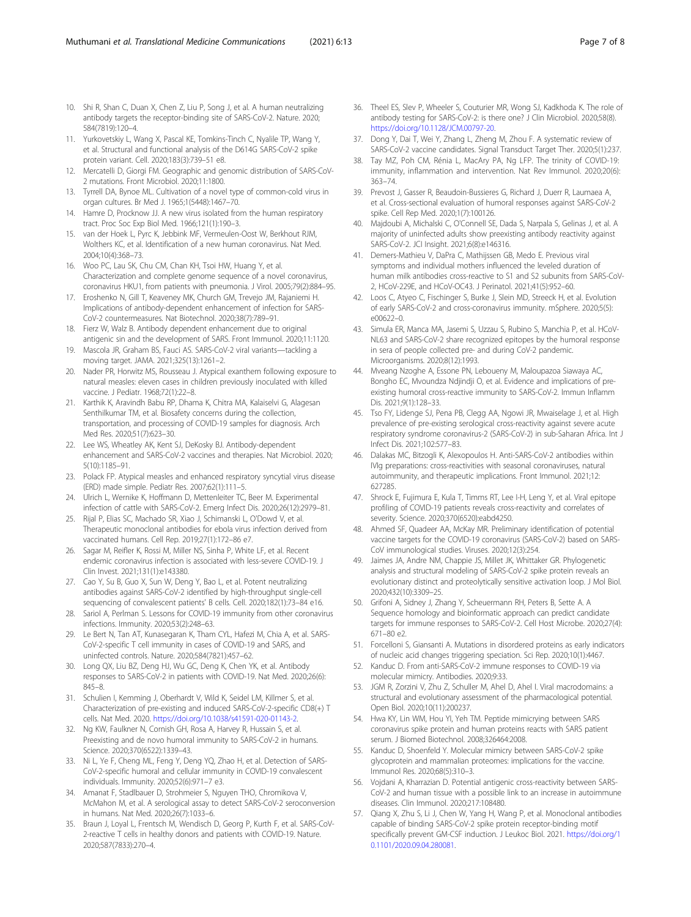- <span id="page-6-0"></span>10. Shi R, Shan C, Duan X, Chen Z, Liu P, Song J, et al. A human neutralizing antibody targets the receptor-binding site of SARS-CoV-2. Nature. 2020; 584(7819):120–4.
- 11. Yurkovetskiy L, Wang X, Pascal KE, Tomkins-Tinch C, Nyalile TP, Wang Y, et al. Structural and functional analysis of the D614G SARS-CoV-2 spike protein variant. Cell. 2020;183(3):739–51 e8.
- 12. Mercatelli D, Giorgi FM. Geographic and genomic distribution of SARS-CoV-2 mutations. Front Microbiol. 2020;11:1800.
- 13. Tyrrell DA, Bynoe ML. Cultivation of a novel type of common-cold virus in organ cultures. Br Med J. 1965;1(5448):1467–70.
- Hamre D, Procknow JJ. A new virus isolated from the human respiratory tract. Proc Soc Exp Biol Med. 1966;121(1):190–3.
- 15. van der Hoek L, Pyrc K, Jebbink MF, Vermeulen-Oost W, Berkhout RJM, Wolthers KC, et al. Identification of a new human coronavirus. Nat Med. 2004;10(4):368–73.
- 16. Woo PC, Lau SK, Chu CM, Chan KH, Tsoi HW, Huang Y, et al. Characterization and complete genome sequence of a novel coronavirus, coronavirus HKU1, from patients with pneumonia. J Virol. 2005;79(2):884–95.
- 17. Eroshenko N, Gill T, Keaveney MK, Church GM, Trevejo JM, Rajaniemi H. Implications of antibody-dependent enhancement of infection for SARS-CoV-2 countermeasures. Nat Biotechnol. 2020;38(7):789–91.
- 18. Fierz W, Walz B. Antibody dependent enhancement due to original antigenic sin and the development of SARS. Front Immunol. 2020;11:1120.
- 19. Mascola JR, Graham BS, Fauci AS. SARS-CoV-2 viral variants—tackling a moving target. JAMA. 2021;325(13):1261–2.
- 20. Nader PR, Horwitz MS, Rousseau J. Atypical exanthem following exposure to natural measles: eleven cases in children previously inoculated with killed vaccine. J Pediatr. 1968;72(1):22–8.
- 21. Karthik K, Aravindh Babu RP, Dhama K, Chitra MA, Kalaiselvi G, Alagesan Senthilkumar TM, et al. Biosafety concerns during the collection, transportation, and processing of COVID-19 samples for diagnosis. Arch Med Res. 2020;51(7):623–30.
- 22. Lee WS, Wheatley AK, Kent SJ, DeKosky BJ. Antibody-dependent enhancement and SARS-CoV-2 vaccines and therapies. Nat Microbiol. 2020; 5(10):1185–91.
- 23. Polack FP. Atypical measles and enhanced respiratory syncytial virus disease (ERD) made simple. Pediatr Res. 2007;62(1):111–5.
- 24. Ulrich L, Wernike K, Hoffmann D, Mettenleiter TC, Beer M. Experimental infection of cattle with SARS-CoV-2. Emerg Infect Dis. 2020;26(12):2979–81.
- 25. Rijal P, Elias SC, Machado SR, Xiao J, Schimanski L, O'Dowd V, et al. Therapeutic monoclonal antibodies for ebola virus infection derived from vaccinated humans. Cell Rep. 2019;27(1):172–86 e7.
- 26. Sagar M, Reifler K, Rossi M, Miller NS, Sinha P, White LF, et al. Recent endemic coronavirus infection is associated with less-severe COVID-19. J Clin Invest. 2021;131(1):e143380.
- 27. Cao Y, Su B, Guo X, Sun W, Deng Y, Bao L, et al. Potent neutralizing antibodies against SARS-CoV-2 identified by high-throughput single-cell sequencing of convalescent patients' B cells. Cell. 2020;182(1):73–84 e16.
- 28. Sariol A, Perlman S. Lessons for COVID-19 immunity from other coronavirus infections. Immunity. 2020;53(2):248–63.
- 29. Le Bert N, Tan AT, Kunasegaran K, Tham CYL, Hafezi M, Chia A, et al. SARS-CoV-2-specific T cell immunity in cases of COVID-19 and SARS, and uninfected controls. Nature. 2020;584(7821):457–62.
- 30. Long QX, Liu BZ, Deng HJ, Wu GC, Deng K, Chen YK, et al. Antibody responses to SARS-CoV-2 in patients with COVID-19. Nat Med. 2020;26(6): 845–8.
- 31. Schulien I, Kemming J, Oberhardt V, Wild K, Seidel LM, Killmer S, et al. Characterization of pre-existing and induced SARS-CoV-2-specific CD8(+) T cells. Nat Med. 2020. [https://doi.org/10.1038/s41591-020-01143-2.](https://doi.org/10.1038/s41591-020-01143-2)
- 32. Ng KW, Faulkner N, Cornish GH, Rosa A, Harvey R, Hussain S, et al. Preexisting and de novo humoral immunity to SARS-CoV-2 in humans. Science. 2020;370(6522):1339–43.
- 33. Ni L, Ye F, Cheng ML, Feng Y, Deng YQ, Zhao H, et al. Detection of SARS-CoV-2-specific humoral and cellular immunity in COVID-19 convalescent individuals. Immunity. 2020;52(6):971–7 e3.
- 34. Amanat F, Stadlbauer D, Strohmeier S, Nguyen THO, Chromikova V, McMahon M, et al. A serological assay to detect SARS-CoV-2 seroconversion in humans. Nat Med. 2020;26(7):1033–6.
- 35. Braun J, Loyal L, Frentsch M, Wendisch D, Georg P, Kurth F, et al. SARS-CoV-2-reactive T cells in healthy donors and patients with COVID-19. Nature. 2020;587(7833):270–4.
- 36. Theel ES, Slev P, Wheeler S, Couturier MR, Wong SJ, Kadkhoda K. The role of antibody testing for SARS-CoV-2: is there one? J Clin Microbiol. 2020;58(8). <https://doi.org/10.1128/JCM.00797-20>.
- 37. Dong Y, Dai T, Wei Y, Zhang L, Zheng M, Zhou F. A systematic review of SARS-CoV-2 vaccine candidates. Signal Transduct Target Ther. 2020;5(1):237.
- 38. Tay MZ, Poh CM, Rénia L, MacAry PA, Ng LFP. The trinity of COVID-19: immunity, inflammation and intervention. Nat Rev Immunol. 2020;20(6): 363–74.
- 39. Prevost J, Gasser R, Beaudoin-Bussieres G, Richard J, Duerr R, Laumaea A, et al. Cross-sectional evaluation of humoral responses against SARS-CoV-2 spike. Cell Rep Med. 2020;1(7):100126.
- 40. Majdoubi A, Michalski C, O'Connell SE, Dada S, Narpala S, Gelinas J, et al. A majority of uninfected adults show preexisting antibody reactivity against SARS-CoV-2. JCI Insight. 2021;6(8):e146316.
- 41. Demers-Mathieu V, DaPra C, Mathijssen GB, Medo E. Previous viral symptoms and individual mothers influenced the leveled duration of human milk antibodies cross-reactive to S1 and S2 subunits from SARS-CoV-2, HCoV-229E, and HCoV-OC43. J Perinatol. 2021;41(5):952–60.
- 42. Loos C, Atyeo C, Fischinger S, Burke J, Slein MD, Streeck H, et al. Evolution of early SARS-CoV-2 and cross-coronavirus immunity. mSphere. 2020;5(5): e00622–0.
- 43. Simula ER, Manca MA, Jasemi S, Uzzau S, Rubino S, Manchia P, et al. HCoV-NL63 and SARS-CoV-2 share recognized epitopes by the humoral response in sera of people collected pre- and during CoV-2 pandemic. Microorganisms. 2020;8(12):1993.
- 44. Mveang Nzoghe A, Essone PN, Leboueny M, Maloupazoa Siawaya AC, Bongho EC, Mvoundza Ndjindji O, et al. Evidence and implications of preexisting humoral cross-reactive immunity to SARS-CoV-2. Immun Inflamm Dis. 2021;9(1):128–33.
- 45. Tso FY, Lidenge SJ, Pena PB, Clegg AA, Ngowi JR, Mwaiselage J, et al. High prevalence of pre-existing serological cross-reactivity against severe acute respiratory syndrome coronavirus-2 (SARS-CoV-2) in sub-Saharan Africa. Int J Infect Dis. 2021;102:577–83.
- 46. Dalakas MC, Bitzogli K, Alexopoulos H. Anti-SARS-CoV-2 antibodies within IVIg preparations: cross-reactivities with seasonal coronaviruses, natural autoimmunity, and therapeutic implications. Front Immunol. 2021;12: 627285.
- 47. Shrock E, Fujimura E, Kula T, Timms RT, Lee I-H, Leng Y, et al. Viral epitope profiling of COVID-19 patients reveals cross-reactivity and correlates of severity. Science. 2020;370(6520):eabd4250.
- 48. Ahmed SF, Quadeer AA, McKay MR. Preliminary identification of potential vaccine targets for the COVID-19 coronavirus (SARS-CoV-2) based on SARS-CoV immunological studies. Viruses. 2020;12(3):254.
- 49. Jaimes JA, Andre NM, Chappie JS, Millet JK, Whittaker GR. Phylogenetic analysis and structural modeling of SARS-CoV-2 spike protein reveals an evolutionary distinct and proteolytically sensitive activation loop. J Mol Biol. 2020;432(10):3309–25.
- 50. Grifoni A, Sidney J, Zhang Y, Scheuermann RH, Peters B, Sette A. A Sequence homology and bioinformatic approach can predict candidate targets for immune responses to SARS-CoV-2. Cell Host Microbe. 2020;27(4): 671–80 e2.
- 51. Forcelloni S, Giansanti A. Mutations in disordered proteins as early indicators of nucleic acid changes triggering speciation. Sci Rep. 2020;10(1):4467.
- 52. Kanduc D. From anti-SARS-CoV-2 immune responses to COVID-19 via molecular mimicry. Antibodies. 2020;9:33.
- 53. JGM R, Zorzini V, Zhu Z, Schuller M, Ahel D, Ahel I. Viral macrodomains: a structural and evolutionary assessment of the pharmacological potential. Open Biol. 2020;10(11):200237.
- 54. Hwa KY, Lin WM, Hou YI, Yeh TM. Peptide mimicrying between SARS coronavirus spike protein and human proteins reacts with SARS patient serum. J Biomed Biotechnol. 2008;326464:2008.
- 55. Kanduc D, Shoenfeld Y. Molecular mimicry between SARS-CoV-2 spike glycoprotein and mammalian proteomes: implications for the vaccine. Immunol Res. 2020;68(5):310–3.
- 56. Vojdani A, Kharrazian D. Potential antigenic cross-reactivity between SARS-CoV-2 and human tissue with a possible link to an increase in autoimmune diseases. Clin Immunol. 2020;217:108480.
- 57. Qiang X, Zhu S, Li J, Chen W, Yang H, Wang P, et al. Monoclonal antibodies capable of binding SARS-CoV-2 spike protein receptor-binding motif specifically prevent GM-CSF induction. J Leukoc Biol. 2021. [https://doi.org/1](https://doi.org/10.1101/2020.09.04.280081) [0.1101/2020.09.04.280081.](https://doi.org/10.1101/2020.09.04.280081)